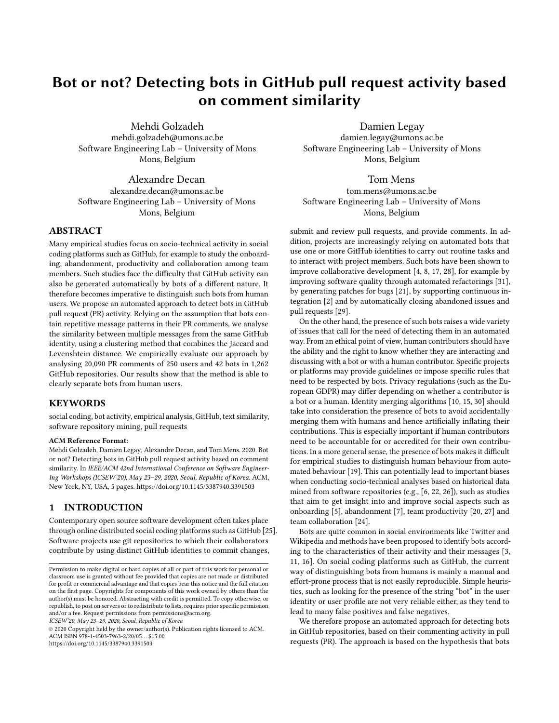# Bot or not? Detecting bots in GitHub pull request activity based on comment similarity

Mehdi Golzadeh mehdi.golzadeh@umons.ac.be Software Engineering Lab – University of Mons Mons, Belgium

Alexandre Decan alexandre.decan@umons.ac.be Software Engineering Lab – University of Mons Mons, Belgium

# ABSTRACT

Many empirical studies focus on socio-technical activity in social coding platforms such as GitHub, for example to study the onboarding, abandonment, productivity and collaboration among team members. Such studies face the difficulty that GitHub activity can also be generated automatically by bots of a different nature. It therefore becomes imperative to distinguish such bots from human users. We propose an automated approach to detect bots in GitHub pull request (PR) activity. Relying on the assumption that bots contain repetitive message patterns in their PR comments, we analyse the similarity between multiple messages from the same GitHub identity, using a clustering method that combines the Jaccard and Levenshtein distance. We empirically evaluate our approach by analysing 20,090 PR comments of 250 users and 42 bots in 1,262 GitHub repositories. Our results show that the method is able to clearly separate bots from human users.

### KEYWORDS

social coding, bot activity, empirical analysis, GitHub, text similarity, software repository mining, pull requests

#### ACM Reference Format:

Mehdi Golzadeh, Damien Legay, Alexandre Decan, and Tom Mens. 2020. Bot or not? Detecting bots in GitHub pull request activity based on comment similarity. In IEEE/ACM 42nd International Conference on Software Engineering Workshops (ICSEW'20), May 23–29, 2020, Seoul, Republic of Korea. ACM, New York, NY, USA, [5](#page-4-0) pages.<https://doi.org/10.1145/3387940.3391503>

## 1 INTRODUCTION

Contemporary open source software development often takes place through online distributed social coding platforms such as GitHub [\[25\]](#page-4-1). Software projects use git repositories to which their collaborators contribute by using distinct GitHub identities to commit changes,

ICSEW'20, May 23–29, 2020, Seoul, Republic of Korea

© 2020 Copyright held by the owner/author(s). Publication rights licensed to ACM. ACM ISBN 978-1-4503-7963-2/20/05. . . \$15.00 <https://doi.org/10.1145/3387940.3391503>

Damien Legay damien.legay@umons.ac.be Software Engineering Lab – University of Mons Mons, Belgium

## Tom Mens

tom.mens@umons.ac.be Software Engineering Lab – University of Mons Mons, Belgium

submit and review pull requests, and provide comments. In addition, projects are increasingly relying on automated bots that use one or more GitHub identities to carry out routine tasks and to interact with project members. Such bots have been shown to improve collaborative development [\[4,](#page-4-2) [8,](#page-4-3) [17,](#page-4-4) [28\]](#page-4-5), for example by improving software quality through automated refactorings [\[31\]](#page-4-6), by generating patches for bugs [\[21\]](#page-4-7), by supporting continuous integration [\[2\]](#page-4-8) and by automatically closing abandoned issues and pull requests [\[29\]](#page-4-9).

On the other hand, the presence of such bots raises a wide variety of issues that call for the need of detecting them in an automated way. From an ethical point of view, human contributors should have the ability and the right to know whether they are interacting and discussing with a bot or with a human contributor. Specific projects or platforms may provide guidelines or impose specific rules that need to be respected by bots. Privacy regulations (such as the European GDPR) may differ depending on whether a contributor is a bot or a human. Identity merging algorithms [\[10,](#page-4-10) [15,](#page-4-11) [30\]](#page-4-12) should take into consideration the presence of bots to avoid accidentally merging them with humans and hence artificially inflating their contributions. This is especially important if human contributors need to be accountable for or accredited for their own contributions. In a more general sense, the presence of bots makes it difficult for empirical studies to distinguish human behaviour from automated behaviour [\[19\]](#page-4-13). This can potentially lead to important biases when conducting socio-technical analyses based on historical data mined from software repositories (e.g., [\[6,](#page-4-14) [22,](#page-4-15) [26\]](#page-4-16)), such as studies that aim to get insight into and improve social aspects such as onboarding [\[5\]](#page-4-17), abandonment [\[7\]](#page-4-18), team productivity [\[20,](#page-4-19) [27\]](#page-4-20) and team collaboration [\[24\]](#page-4-21).

Bots are quite common in social environments like Twitter and Wikipedia and methods have been proposed to identify bots according to the characteristics of their activity and their messages [\[3,](#page-4-22) [11,](#page-4-23) [16\]](#page-4-24). On social coding platforms such as GitHub, the current way of distinguishing bots from humans is mainly a manual and effort-prone process that is not easily reproducible. Simple heuristics, such as looking for the presence of the string "bot" in the user identity or user profile are not very reliable either, as they tend to lead to many false positives and false negatives.

We therefore propose an automated approach for detecting bots in GitHub repositories, based on their commenting activity in pull requests (PR). The approach is based on the hypothesis that bots

Permission to make digital or hard copies of all or part of this work for personal or classroom use is granted without fee provided that copies are not made or distributed for profit or commercial advantage and that copies bear this notice and the full citation on the first page. Copyrights for components of this work owned by others than the author(s) must be honored. Abstracting with credit is permitted. To copy otherwise, or republish, to post on servers or to redistribute to lists, requires prior specific permission and/or a fee. Request permissions from permissions@acm.org.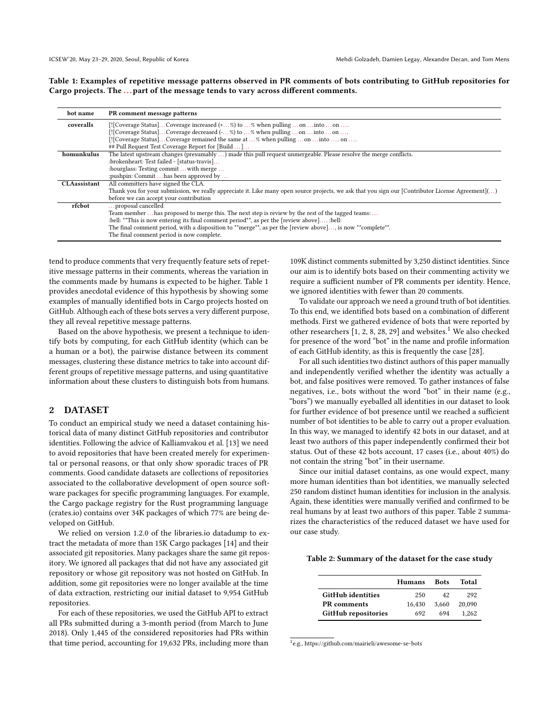<span id="page-1-0"></span>Table 1: Examples of repetitive message patterns observed in PR comments of bots contributing to GitHub repositories for Cargo projects. The ... part of the message tends to vary across different comments.

| bot name            | PR comment message patterns                                                                                                                        |  |  |  |
|---------------------|----------------------------------------------------------------------------------------------------------------------------------------------------|--|--|--|
| coveralls           | [![Coverage Status]Coverage increased $(+,%)$ to % when pulling on into on                                                                         |  |  |  |
|                     | [![Coverage Status]Coverage decreased (-%) to % when pulling on into on                                                                            |  |  |  |
|                     | [![Coverage Status]Coverage remained the same at % when pulling on into  on                                                                        |  |  |  |
|                     | ## Pull Request Test Coverage Report for [Build ]                                                                                                  |  |  |  |
| homunkulus          | The latest upstream changes (presumably ) made this pull request unmergeable. Please resolve the merge conflicts.                                  |  |  |  |
|                     | :brokenheart: Test failed - [status-travis]                                                                                                        |  |  |  |
|                     | : hourglass: Testing commit  with merge                                                                                                            |  |  |  |
|                     | :pushpin: Commit  has been approved by                                                                                                             |  |  |  |
| <b>CLAassistant</b> | All committers have signed the CLA.                                                                                                                |  |  |  |
|                     | Thank you for your submission, we really appreciate it. Like many open source projects, we ask that you sign our [Contributor License Agreement]() |  |  |  |
|                     | before we can accept your contribution                                                                                                             |  |  |  |
| rfcbot              | proposal cancelled                                                                                                                                 |  |  |  |
|                     | Team member  has proposed to merge this. The next step is review by the rest of the tagged teams:                                                  |  |  |  |
|                     | :bell: **This is now entering its final comment period**, as per the [review above] :bell:                                                         |  |  |  |
|                     | The final comment period, with a disposition to **merge**, as per the [review above], is now **complete**.                                         |  |  |  |
|                     | The final comment period is now complete.                                                                                                          |  |  |  |

tend to produce comments that very frequently feature sets of repetitive message patterns in their comments, whereas the variation in the comments made by humans is expected to be higher. Table [1](#page-1-0) provides anecdotal evidence of this hypothesis by showing some examples of manually identified bots in Cargo projects hosted on GitHub. Although each of these bots serves a very different purpose, they all reveal repetitive message patterns.

Based on the above hypothesis, we present a technique to identify bots by computing, for each GitHub identity (which can be a human or a bot), the pairwise distance between its comment messages, clustering these distance metrics to take into account different groups of repetitive message patterns, and using quantitative information about these clusters to distinguish bots from humans.

## 2 DATASET

To conduct an empirical study we need a dataset containing historical data of many distinct GitHub repositories and contributor identities. Following the advice of Kalliamvakou et al. [\[13\]](#page-4-25) we need to avoid repositories that have been created merely for experimental or personal reasons, or that only show sporadic traces of PR comments. Good candidate datasets are collections of repositories associated to the collaborative development of open source software packages for specific programming languages. For example, the Cargo package registry for the Rust programming language [\(crates.io\)](crates.io) contains over 34K packages of which 77% are being developed on GitHub.

We relied on version 1.2.0 of the libraries.io datadump to extract the metadata of more than 15K Cargo packages [\[14\]](#page-4-26) and their associated git repositories. Many packages share the same git repository. We ignored all packages that did not have any associated git repository or whose git repository was not hosted on GitHub. In addition, some git repositories were no longer available at the time of data extraction, restricting our initial dataset to 9,954 GitHub repositories.

For each of these repositories, we used the GitHub API to extract all PRs submitted during a 3-month period (from March to June 2018). Only 1,445 of the considered repositories had PRs within that time period, accounting for 19,632 PRs, including more than 109K distinct comments submitted by 3,250 distinct identities. Since our aim is to identify bots based on their commenting activity we require a sufficient number of PR comments per identity. Hence, we ignored identities with fewer than 20 comments.

To validate our approach we need a ground truth of bot identities. To this end, we identified bots based on a combination of different methods. First we gathered evidence of bots that were reported by other researchers  $[1, 2, 8, 28, 29]$  $[1, 2, 8, 28, 29]$  $[1, 2, 8, 28, 29]$  $[1, 2, 8, 28, 29]$  $[1, 2, 8, 28, 29]$  $[1, 2, 8, 28, 29]$  $[1, 2, 8, 28, 29]$  $[1, 2, 8, 28, 29]$  $[1, 2, 8, 28, 29]$  and websites.<sup>[1](#page-1-1)</sup> We also checked for presence of the word "bot" in the name and profile information of each GitHub identity, as this is frequently the case [\[28\]](#page-4-5).

For all such identities two distinct authors of this paper manually and independently verified whether the identity was actually a bot, and false positives were removed. To gather instances of false negatives, i.e., bots without the word "bot" in their name (e.g., "bors") we manually eyeballed all identities in our dataset to look for further evidence of bot presence until we reached a sufficient number of bot identities to be able to carry out a proper evaluation. In this way, we managed to identify 42 bots in our dataset, and at least two authors of this paper independently confirmed their bot status. Out of these 42 bots account, 17 cases (i.e., about 40%) do not contain the string "bot" in their username.

Since our initial dataset contains, as one would expect, many more human identities than bot identities, we manually selected 250 random distinct human identities for inclusion in the analysis. Again, these identities were manually verified and confirmed to be real humans by at least two authors of this paper. Table [2](#page-1-2) summarizes the characteristics of the reduced dataset we have used for our case study.

#### <span id="page-1-2"></span>Table 2: Summary of the dataset for the case study

|                          | <b>Humans</b> | <b>Bots</b> | Total  |
|--------------------------|---------------|-------------|--------|
| <b>GitHub identities</b> | 250           | 42          | 292    |
| <b>PR</b> comments       | 16.430        | 3.660       | 20,090 |
| GitHub repositories      | 692           | 694         | 1.262  |

<span id="page-1-1"></span>1 e.g.,<https://github.com/mairieli/awesome-se-bots>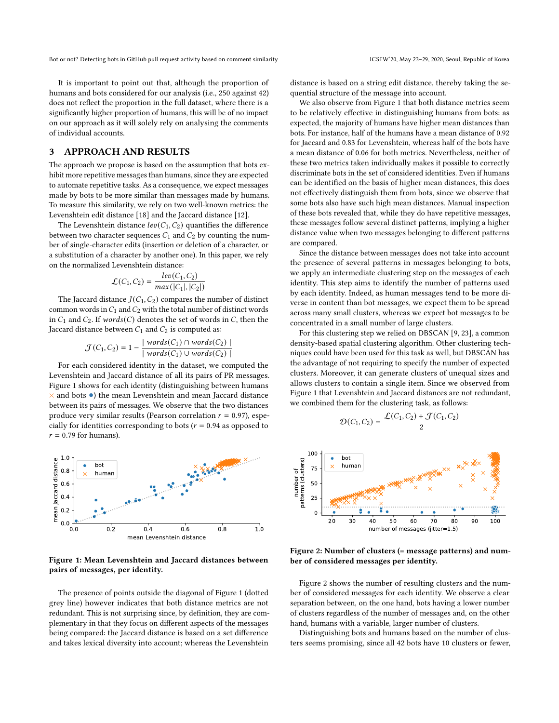It is important to point out that, although the proportion of humans and bots considered for our analysis (i.e., 250 against 42) does not reflect the proportion in the full dataset, where there is a significantly higher proportion of humans, this will be of no impact on our approach as it will solely rely on analysing the comments of individual accounts.

## 3 APPROACH AND RESULTS

The approach we propose is based on the assumption that bots exhibit more repetitive messages than humans, since they are expected to automate repetitive tasks. As a consequence, we expect messages made by bots to be more similar than messages made by humans. To measure this similarity, we rely on two well-known metrics: the Levenshtein edit distance [\[18\]](#page-4-28) and the Jaccard distance [\[12\]](#page-4-29).

The Levenshtein distance  $lev(C_1, C_2)$  quantifies the difference between two character sequences  $C_1$  and  $C_2$  by counting the number of single-character edits (insertion or deletion of a character, or a substitution of a character by another one). In this paper, we rely on the normalized Levenshtein distance:

$$
\mathcal{L}(C_1, C_2) = \frac{lev(C_1, C_2)}{max(|C_1|, |C_2|)}
$$

The Jaccard distance  $J(C_1, C_2)$  compares the number of distinct common words in  $C_1$  and  $C_2$  with the total number of distinct words in  $C_1$  and  $C_2$ . If words(C) denotes the set of words in C, then the Jaccard distance between  $C_1$  and  $C_2$  is computed as:

$$
\mathcal{J}(C_1, C_2) = 1 - \frac{|\text{ words}(C_1) \cap \text{words}(C_2)|}{|\text{ words}(C_1) \cup \text{words}(C_2)|}
$$

For each considered identity in the dataset, we computed the Levenshtein and Jaccard distance of all its pairs of PR messages. Figure [1](#page-2-0) shows for each identity (distinguishing between humans  $\times$  and bots  $\bullet)$  the mean Levenshtein and mean Jaccard distance between its pairs of messages. We observe that the two distances produce very similar results (Pearson correlation  $r = 0.97$ ), especially for identities corresponding to bots ( $r = 0.94$  as opposed to  $r = 0.79$  for humans).

<span id="page-2-0"></span>

#### Figure 1: Mean Levenshtein and Jaccard distances between pairs of messages, per identity.

The presence of points outside the diagonal of Figure [1](#page-2-0) (dotted grey line) however indicates that both distance metrics are not redundant. This is not surprising since, by definition, they are complementary in that they focus on different aspects of the messages being compared: the Jaccard distance is based on a set difference and takes lexical diversity into account; whereas the Levenshtein

distance is based on a string edit distance, thereby taking the sequential structure of the message into account.

We also observe from Figure [1](#page-2-0) that both distance metrics seem to be relatively effective in distinguishing humans from bots: as expected, the majority of humans have higher mean distances than bots. For instance, half of the humans have a mean distance of 0.92 for Jaccard and 0.83 for Levenshtein, whereas half of the bots have a mean distance of 0.06 for both metrics. Nevertheless, neither of these two metrics taken individually makes it possible to correctly discriminate bots in the set of considered identities. Even if humans can be identified on the basis of higher mean distances, this does not effectively distinguish them from bots, since we observe that some bots also have such high mean distances. Manual inspection of these bots revealed that, while they do have repetitive messages, these messages follow several distinct patterns, implying a higher distance value when two messages belonging to different patterns are compared.

Since the distance between messages does not take into account the presence of several patterns in messages belonging to bots, we apply an intermediate clustering step on the messages of each identity. This step aims to identify the number of patterns used by each identity. Indeed, as human messages tend to be more diverse in content than bot messages, we expect them to be spread across many small clusters, whereas we expect bot messages to be concentrated in a small number of large clusters.

For this clustering step we relied on DBSCAN [\[9,](#page-4-30) [23\]](#page-4-31), a common density-based spatial clustering algorithm. Other clustering techniques could have been used for this task as well, but DBSCAN has the advantage of not requiring to specify the number of expected clusters. Moreover, it can generate clusters of unequal sizes and allows clusters to contain a single item. Since we observed from Figure [1](#page-2-0) that Levenshtein and Jaccard distances are not redundant, we combined them for the clustering task, as follows:

$$
\mathcal{D}(C_1, C_2) = \frac{\mathcal{L}(C_1, C_2) + \mathcal{J}(C_1, C_2)}{2}
$$

<span id="page-2-1"></span>

Figure 2: Number of clusters (= message patterns) and number of considered messages per identity.

Figure [2](#page-2-1) shows the number of resulting clusters and the number of considered messages for each identity. We observe a clear separation between, on the one hand, bots having a lower number of clusters regardless of the number of messages and, on the other hand, humans with a variable, larger number of clusters.

Distinguishing bots and humans based on the number of clusters seems promising, since all 42 bots have 10 clusters or fewer,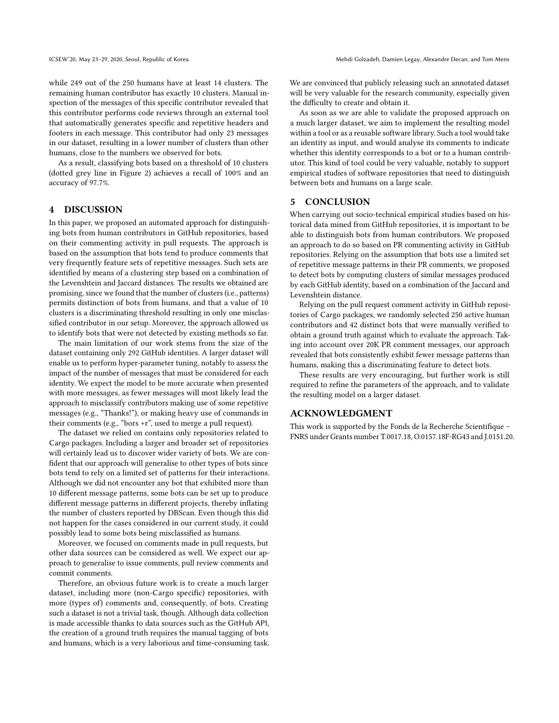while 249 out of the 250 humans have at least 14 clusters. The remaining human contributor has exactly 10 clusters. Manual inspection of the messages of this specific contributor revealed that this contributor performs code reviews through an external tool that automatically generates specific and repetitive headers and footers in each message. This contributor had only 23 messages in our dataset, resulting in a lower number of clusters than other humans, close to the numbers we observed for bots.

As a result, classifying bots based on a threshold of 10 clusters (dotted grey line in Figure [2\)](#page-2-1) achieves a recall of 100% and an accuracy of 97.7%.

## 4 DISCUSSION

In this paper, we proposed an automated approach for distinguishing bots from human contributors in GitHub repositories, based on their commenting activity in pull requests. The approach is based on the assumption that bots tend to produce comments that very frequently feature sets of repetitive messages. Such sets are identified by means of a clustering step based on a combination of the Levenshtein and Jaccard distances. The results we obtained are promising, since we found that the number of clusters (i.e., patterns) permits distinction of bots from humans, and that a value of 10 clusters is a discriminating threshold resulting in only one misclassified contributor in our setup. Moreover, the approach allowed us to identify bots that were not detected by existing methods so far.

The main limitation of our work stems from the size of the dataset containing only 292 GitHub identities. A larger dataset will enable us to perform hyper-parameter tuning, notably to assess the impact of the number of messages that must be considered for each identity. We expect the model to be more accurate when presented with more messages, as fewer messages will most likely lead the approach to misclassify contributors making use of some repetitive messages (e.g., "Thanks!"), or making heavy use of commands in their comments (e.g., "bors +r", used to merge a pull request).

The dataset we relied on contains only repositories related to Cargo packages. Including a larger and broader set of repositories will certainly lead us to discover wider variety of bots. We are confident that our approach will generalise to other types of bots since bots tend to rely on a limited set of patterns for their interactions. Although we did not encounter any bot that exhibited more than 10 different message patterns, some bots can be set up to produce different message patterns in different projects, thereby inflating the number of clusters reported by DBScan. Even though this did not happen for the cases considered in our current study, it could possibly lead to some bots being misclassified as humans.

Moreover, we focused on comments made in pull requests, but other data sources can be considered as well. We expect our approach to generalise to issue comments, pull review comments and commit comments.

Therefore, an obvious future work is to create a much larger dataset, including more (non-Cargo specific) repositories, with more (types of) comments and, consequently, of bots. Creating such a dataset is not a trivial task, though. Although data collection is made accessible thanks to data sources such as the GitHub API, the creation of a ground truth requires the manual tagging of bots and humans, which is a very laborious and time-consuming task. We are convinced that publicly releasing such an annotated dataset will be very valuable for the research community, especially given the difficulty to create and obtain it.

As soon as we are able to validate the proposed approach on a much larger dataset, we aim to implement the resulting model within a tool or as a reusable software library. Such a tool would take an identity as input, and would analyse its comments to indicate whether this identity corresponds to a bot or to a human contributor. This kind of tool could be very valuable, notably to support empirical studies of software repositories that need to distinguish between bots and humans on a large scale.

# 5 CONCLUSION

When carrying out socio-technical empirical studies based on historical data mined from GitHub repositories, it is important to be able to distinguish bots from human contributors. We proposed an approach to do so based on PR commenting activity in GitHub repositories. Relying on the assumption that bots use a limited set of repetitive message patterns in their PR comments, we proposed to detect bots by computing clusters of similar messages produced by each GitHub identity, based on a combination of the Jaccard and Levenshtein distance.

Relying on the pull request comment activity in GitHub repositories of Cargo packages, we randomly selected 250 active human contributors and 42 distinct bots that were manually verified to obtain a ground truth against which to evaluate the approach. Taking into account over 20K PR comment messages, our approach revealed that bots consistently exhibit fewer message patterns than humans, making this a discriminating feature to detect bots.

These results are very encouraging, but further work is still required to refine the parameters of the approach, and to validate the resulting model on a larger dataset.

# ACKNOWLEDGMENT

This work is supported by the Fonds de la Recherche Scientifique – FNRS under Grants number T.0017.18, O.0157.18F-RG43 and J.0151.20.